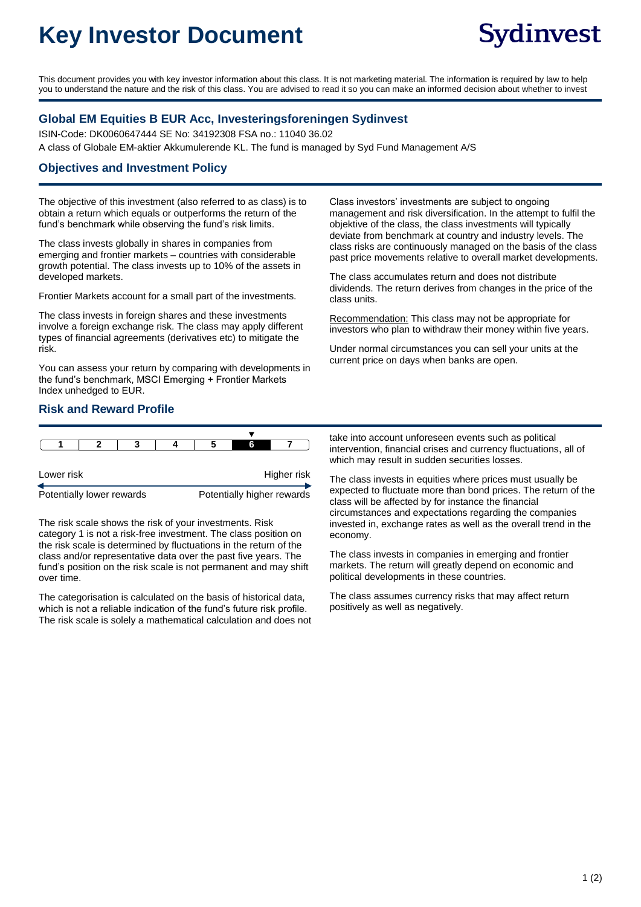# **Key Investor Document**

This document provides you with key investor information about this class. It is not marketing material. The information is required by law to help you to understand the nature and the risk of this class. You are advised to read it so you can make an informed decision about whether to invest

# **Global EM Equities B EUR Acc, Investeringsforeningen Sydinvest**

ISIN-Code: DK0060647444 SE No: 34192308 FSA no.: 11040 36.02 A class of Globale EM-aktier Akkumulerende KL. The fund is managed by Syd Fund Management A/S

# **Objectives and Investment Policy**

The objective of this investment (also referred to as class) is to obtain a return which equals or outperforms the return of the fund's benchmark while observing the fund's risk limits.

The class invests globally in shares in companies from emerging and frontier markets – countries with considerable growth potential. The class invests up to 10% of the assets in developed markets.

Frontier Markets account for a small part of the investments.

The class invests in foreign shares and these investments involve a foreign exchange risk. The class may apply different types of financial agreements (derivatives etc) to mitigate the risk.

You can assess your return by comparing with developments in the fund's benchmark, MSCI Emerging + Frontier Markets Index unhedged to EUR.

#### Recommendation: This class may not be appropriate for investors who plan to withdraw their money within five years. Under normal circumstances you can sell your units at the current price on days when banks are open.

class units.

## **Risk and Reward Profile**

|                           |  |  |  |                            | 6 |  |  |
|---------------------------|--|--|--|----------------------------|---|--|--|
|                           |  |  |  |                            |   |  |  |
| Lower risk                |  |  |  | Higher risk                |   |  |  |
| Potentially lower rewards |  |  |  | Potentially higher rewards |   |  |  |

The risk scale shows the risk of your investments. Risk category 1 is not a risk-free investment. The class position on the risk scale is determined by fluctuations in the return of the class and/or representative data over the past five years. The fund's position on the risk scale is not permanent and may shift over time.

The categorisation is calculated on the basis of historical data, which is not a reliable indication of the fund's future risk profile. The risk scale is solely a mathematical calculation and does not take into account unforeseen events such as political intervention, financial crises and currency fluctuations, all of which may result in sudden securities losses.

Class investors' investments are subject to ongoing

The class accumulates return and does not distribute dividends. The return derives from changes in the price of the

management and risk diversification. In the attempt to fulfil the objektive of the class, the class investments will typically deviate from benchmark at country and industry levels. The class risks are continuously managed on the basis of the class past price movements relative to overall market developments.

The class invests in equities where prices must usually be expected to fluctuate more than bond prices. The return of the class will be affected by for instance the financial circumstances and expectations regarding the companies invested in, exchange rates as well as the overall trend in the economy.

The class invests in companies in emerging and frontier markets. The return will greatly depend on economic and political developments in these countries.

The class assumes currency risks that may affect return positively as well as negatively.